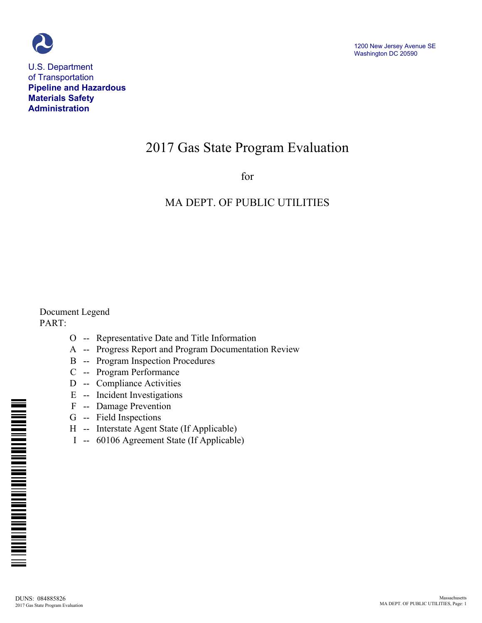

U.S. Department of Transportation **Pipeline and Hazardous Materials Safety Administration**

# 2017 Gas State Program Evaluation

for

### MA DEPT. OF PUBLIC UTILITIES

Document Legend PART:

- O -- Representative Date and Title Information
- A -- Progress Report and Program Documentation Review
- B -- Program Inspection Procedures
- C -- Program Performance
- D -- Compliance Activities
- E -- Incident Investigations
- F -- Damage Prevention
- G -- Field Inspections
- H -- Interstate Agent State (If Applicable)
- I -- 60106 Agreement State (If Applicable)

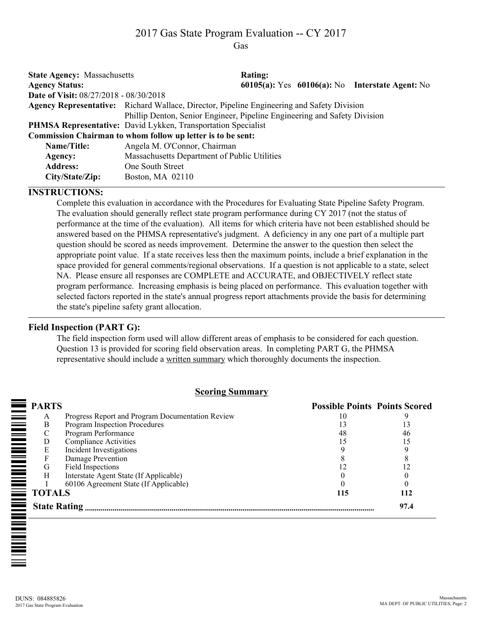## 2017 Gas State Program Evaluation -- CY 2017

Gas

| <b>State Agency: Massachusetts</b>            |                                                                                            | <b>Rating:</b> |                                                 |
|-----------------------------------------------|--------------------------------------------------------------------------------------------|----------------|-------------------------------------------------|
| <b>Agency Status:</b>                         |                                                                                            |                | 60105(a): Yes 60106(a): No Interstate Agent: No |
| <b>Date of Visit: 08/27/2018 - 08/30/2018</b> |                                                                                            |                |                                                 |
|                                               | Agency Representative: Richard Wallace, Director, Pipeline Engineering and Safety Division |                |                                                 |
|                                               | Phillip Denton, Senior Engineer, Pipeline Engineering and Safety Division                  |                |                                                 |
|                                               | <b>PHMSA Representative:</b> David Lykken, Transportation Specialist                       |                |                                                 |
|                                               | Commission Chairman to whom follow up letter is to be sent:                                |                |                                                 |
| Name/Title:                                   | Angela M. O'Connor, Chairman                                                               |                |                                                 |
| Agency:                                       | Massachusetts Department of Public Utilities                                               |                |                                                 |
| <b>Address:</b>                               | One South Street                                                                           |                |                                                 |
| City/State/Zip:                               | Boston, MA 02110                                                                           |                |                                                 |

#### **INSTRUCTIONS:**

Complete this evaluation in accordance with the Procedures for Evaluating State Pipeline Safety Program. The evaluation should generally reflect state program performance during CY 2017 (not the status of performance at the time of the evaluation). All items for which criteria have not been established should be answered based on the PHMSA representative's judgment. A deficiency in any one part of a multiple part question should be scored as needs improvement. Determine the answer to the question then select the appropriate point value. If a state receives less then the maximum points, include a brief explanation in the space provided for general comments/regional observations. If a question is not applicable to a state, select NA. Please ensure all responses are COMPLETE and ACCURATE, and OBJECTIVELY reflect state program performance. Increasing emphasis is being placed on performance. This evaluation together with selected factors reported in the state's annual progress report attachments provide the basis for determining the state's pipeline safety grant allocation.

### **Field Inspection (PART G):**

The field inspection form used will allow different areas of emphasis to be considered for each question. Question 13 is provided for scoring field observation areas. In completing PART G, the PHMSA representative should include a written summary which thoroughly documents the inspection.

#### **Scoring Summary**

| <b>PARTS</b>        |                                                  | <b>Possible Points Points Scored</b> |      |
|---------------------|--------------------------------------------------|--------------------------------------|------|
| A                   | Progress Report and Program Documentation Review |                                      |      |
| B                   | Program Inspection Procedures                    |                                      |      |
|                     | Program Performance                              | 48                                   | 46   |
| D                   | <b>Compliance Activities</b>                     |                                      |      |
| E                   | Incident Investigations                          |                                      |      |
|                     | Damage Prevention                                |                                      |      |
| G                   | Field Inspections                                |                                      |      |
| H                   | Interstate Agent State (If Applicable)           |                                      |      |
|                     | 60106 Agreement State (If Applicable)            |                                      |      |
| <b>TOTALS</b>       |                                                  | 115                                  | 112  |
| <b>State Rating</b> |                                                  |                                      | 97.4 |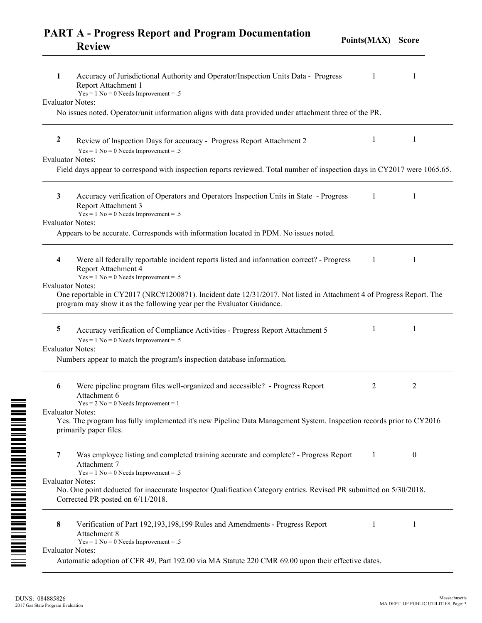|   | <b>PART A - Progress Report and Program Documentation</b><br><b>Review</b>                                                                            | Points(MAX) | <b>Score</b> |  |
|---|-------------------------------------------------------------------------------------------------------------------------------------------------------|-------------|--------------|--|
| 1 | Accuracy of Jurisdictional Authority and Operator/Inspection Units Data - Progress<br>Report Attachment 1<br>$Yes = 1 No = 0 Needs Important = .5$    |             |              |  |
|   | Evaluator Notes:                                                                                                                                      |             |              |  |
|   | No issues noted. Operator/unit information aligns with data provided under attachment three of the PR.                                                |             |              |  |
| 2 | Review of Inspection Days for accuracy - Progress Report Attachment 2<br>$Yes = 1 No = 0 Needs Important = .5$                                        |             |              |  |
|   | Evaluator Notes:                                                                                                                                      |             |              |  |
|   | Field days appear to correspond with inspection reports reviewed. Total number of inspection days in CY2017 were 1065.65.                             |             |              |  |
| 3 | Accuracy verification of Operators and Operators Inspection Units in State - Progress<br>Report Attachment 3<br>$Yes = 1 No = 0 Needs Important = .5$ |             |              |  |
|   | <b>Evaluator Notes:</b>                                                                                                                               |             |              |  |
|   | Appears to be accurate. Corresponds with information located in PDM. No issues noted.                                                                 |             |              |  |
|   |                                                                                                                                                       |             |              |  |

One reportable in CY2017 (NRC#1200871). Incident date 12/31/2017. Not listed in Attachment 4 of Progress Report. The

Yes. The program has fully implemented it's new Pipeline Data Management System. Inspection records prior to CY2016

No. One point deducted for inaccurate Inspector Qualification Category entries. Revised PR submitted on 5/30/2018.

**5** Accuracy verification of Compliance Activities - Progress Report Attachment 5 1

**4** Were all federally reportable incident reports listed and information correct? - Progress

program may show it as the following year per the Evaluator Guidance.

Numbers appear to match the program's inspection database information.

**6** Were pipeline program files well-organized and accessible? - Progress Report

**7** Was employee listing and completed training accurate and complete? - Progress Report

**8** Verification of Part 192,193,198,199 Rules and Amendments - Progress Report

Automatic adoption of CFR 49, Part 192.00 via MA Statute 220 CMR 69.00 upon their effective dates.

Report Attachment 4

Attachment 6

Attachment 7

Attachment 8

Corrected PR posted on 6/11/2018.

primarily paper files.

Evaluator Notes:

Evaluator Notes:

Evaluator Notes:

Evaluator Notes:

Evaluator Notes:

 $Yes = 1 No = 0 Needs Important = .5$ 

 $Yes = 1 No = 0 Needs Important = .5$ 

 $Yes = 2 No = 0 Needs Important = 1$ 

 $Yes = 1 No = 0 Needs Important = .5$ 

 $Yes = 1 No = 0 Needs Important = .5$ 

```
III INITIATIV INITIATIV INITIATIV III
```
1 1

2 2

1 0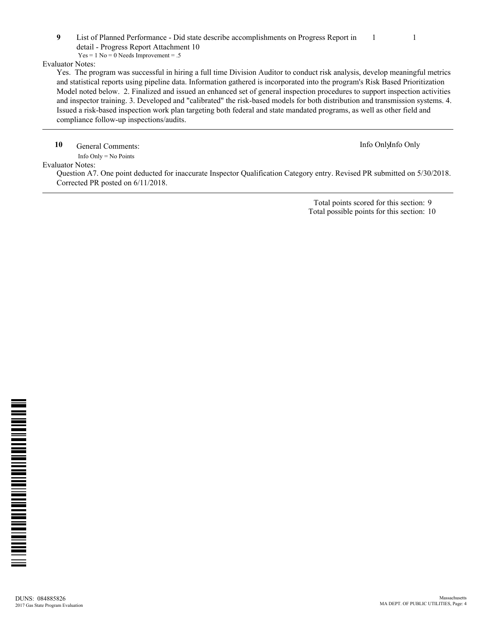**9** List of Planned Performance - Did state describe accomplishments on Progress Report in detail - Progress Report Attachment 10 1 1  $Yes = 1 No = 0 Needs Important = .5$ 

Evaluator Notes:

Yes. The program was successful in hiring a full time Division Auditor to conduct risk analysis, develop meaningful metrics and statistical reports using pipeline data. Information gathered is incorporated into the program's Risk Based Prioritization Model noted below. 2. Finalized and issued an enhanced set of general inspection procedures to support inspection activities and inspector training. 3. Developed and "calibrated" the risk-based models for both distribution and transmission systems. 4. Issued a risk-based inspection work plan targeting both federal and state mandated programs, as well as other field and compliance follow-up inspections/audits.

**10** General Comments: Info OnlyInfo Only

 Info Only = No Points Evaluator Notes:

> Question A7. One point deducted for inaccurate Inspector Qualification Category entry. Revised PR submitted on 5/30/2018. Corrected PR posted on 6/11/2018.

> > Total points scored for this section: 9 Total possible points for this section: 10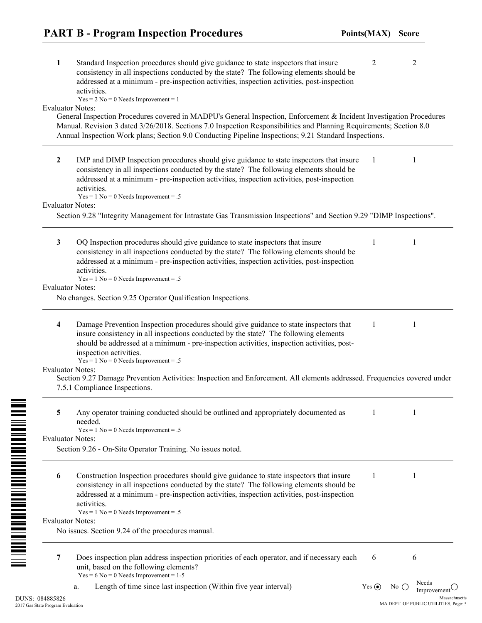| 1                       | Standard Inspection procedures should give guidance to state inspectors that insure<br>consistency in all inspections conducted by the state? The following elements should be<br>addressed at a minimum - pre-inspection activities, inspection activities, post-inspection<br>activities.                                                    | $\overline{2}$ | 2                                                      |
|-------------------------|------------------------------------------------------------------------------------------------------------------------------------------------------------------------------------------------------------------------------------------------------------------------------------------------------------------------------------------------|----------------|--------------------------------------------------------|
| <b>Evaluator Notes:</b> | $Yes = 2 No = 0 Needs Improvement = 1$<br>General Inspection Procedures covered in MADPU's General Inspection, Enforcement & Incident Investigation Procedures<br>Manual. Revision 3 dated 3/26/2018. Sections 7.0 Inspection Responsibilities and Planning Requirements; Section 8.0                                                          |                |                                                        |
|                         | Annual Inspection Work plans; Section 9.0 Conducting Pipeline Inspections; 9.21 Standard Inspections.                                                                                                                                                                                                                                          |                |                                                        |
| $\mathbf{2}$            | IMP and DIMP Inspection procedures should give guidance to state inspectors that insure<br>consistency in all inspections conducted by the state? The following elements should be<br>addressed at a minimum - pre-inspection activities, inspection activities, post-inspection<br>activities.<br>$Yes = 1 No = 0 Needs Important = .5$       | $\mathbf{1}$   | 1                                                      |
| <b>Evaluator Notes:</b> |                                                                                                                                                                                                                                                                                                                                                |                |                                                        |
|                         | Section 9.28 "Integrity Management for Intrastate Gas Transmission Inspections" and Section 9.29 "DIMP Inspections".                                                                                                                                                                                                                           |                |                                                        |
| 3                       | OQ Inspection procedures should give guidance to state inspectors that insure<br>consistency in all inspections conducted by the state? The following elements should be<br>addressed at a minimum - pre-inspection activities, inspection activities, post-inspection<br>activities.<br>$Yes = 1 No = 0 Needs Important = .5$                 | 1              | 1                                                      |
| <b>Evaluator Notes:</b> |                                                                                                                                                                                                                                                                                                                                                |                |                                                        |
|                         | No changes. Section 9.25 Operator Qualification Inspections.                                                                                                                                                                                                                                                                                   |                |                                                        |
| 4                       | Damage Prevention Inspection procedures should give guidance to state inspectors that<br>insure consistency in all inspections conducted by the state? The following elements<br>should be addressed at a minimum - pre-inspection activities, inspection activities, post-<br>inspection activities.<br>$Yes = 1 No = 0 Needs Important = .5$ | 1              | 1                                                      |
| <b>Evaluator Notes:</b> |                                                                                                                                                                                                                                                                                                                                                |                |                                                        |
|                         | Section 9.27 Damage Prevention Activities: Inspection and Enforcement. All elements addressed. Frequencies covered under                                                                                                                                                                                                                       |                |                                                        |
|                         | 7.5.1 Compliance Inspections.                                                                                                                                                                                                                                                                                                                  |                |                                                        |
| 5                       | Any operator training conducted should be outlined and appropriately documented as<br>needed.<br>$Yes = 1 No = 0 Needs Important = .5$                                                                                                                                                                                                         |                |                                                        |
| Evaluator Notes:        |                                                                                                                                                                                                                                                                                                                                                |                |                                                        |
|                         | Section 9.26 - On-Site Operator Training. No issues noted.                                                                                                                                                                                                                                                                                     |                |                                                        |
| 6                       | Construction Inspection procedures should give guidance to state inspectors that insure<br>consistency in all inspections conducted by the state? The following elements should be<br>addressed at a minimum - pre-inspection activities, inspection activities, post-inspection<br>activities.                                                | 1              | 1                                                      |
| <b>Evaluator Notes:</b> | $Yes = 1 No = 0 Needs Important = .5$                                                                                                                                                                                                                                                                                                          |                |                                                        |
|                         | No issues. Section 9.24 of the procedures manual.                                                                                                                                                                                                                                                                                              |                |                                                        |
| 7                       | Does inspection plan address inspection priorities of each operator, and if necessary each<br>unit, based on the following elements?                                                                                                                                                                                                           | 6              | 6                                                      |
|                         | $Yes = 6 No = 0 Needs Important = 1-5$                                                                                                                                                                                                                                                                                                         |                | Needs                                                  |
|                         | Length of time since last inspection (Within five year interval)<br>a.                                                                                                                                                                                                                                                                         | Yes $\odot$    | No $($<br>Improvement                                  |
| 34885826<br>m Eveluetic |                                                                                                                                                                                                                                                                                                                                                |                | Massachusetts<br>MA DEPT. OF PUBLIC UTILITIES, Page: 5 |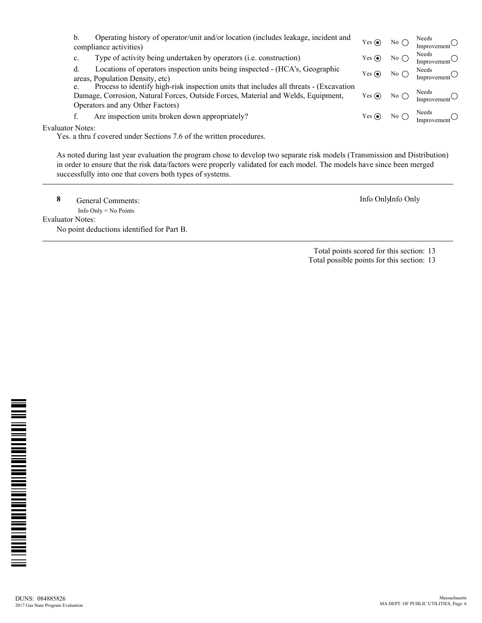|                         | b.             | Operating history of operator/unit and/or location (includes leakage, incident and<br>compliance activities)                                                                                                    | Yes $\odot$ | No $\bigcirc$ | Needs<br>Improvement $\cup$ |
|-------------------------|----------------|-----------------------------------------------------------------------------------------------------------------------------------------------------------------------------------------------------------------|-------------|---------------|-----------------------------|
|                         | $\mathbf{c}$ . | Type of activity being undertaken by operators (i.e. construction)                                                                                                                                              | Yes $\odot$ | No $\bigcirc$ | Needs<br>Improvement        |
|                         | d.             | Locations of operators inspection units being inspected - (HCA's, Geographic<br>areas, Population Density, etc)                                                                                                 | Yes $\odot$ | No $\bigcap$  | Needs<br>Improvement        |
|                         | e.             | Process to identify high-risk inspection units that includes all threats - (Excavation<br>Damage, Corrosion, Natural Forces, Outside Forces, Material and Welds, Equipment,<br>Operators and any Other Factors) | Yes $\odot$ | No $\bigcap$  | Needs<br>Improvement        |
|                         |                | Are inspection units broken down appropriately?                                                                                                                                                                 | Yes $\odot$ | No $\bigcirc$ | Needs                       |
| <b>Evaluator Notes:</b> |                |                                                                                                                                                                                                                 |             |               |                             |

Yes. a thru f covered under Sections 7.6 of the written procedures.

As noted during last year evaluation the program chose to develop two separate risk models (Transmission and Distribution) in order to ensure that the risk data/factors were properly validated for each model. The models have since been merged successfully into one that covers both types of systems.

**8** General Comments: **Info Onlyinfo Only** 

 Info Only = No Points Evaluator Notes:

No point deductions identified for Part B.

Total points scored for this section: 13

Total possible points for this section: 13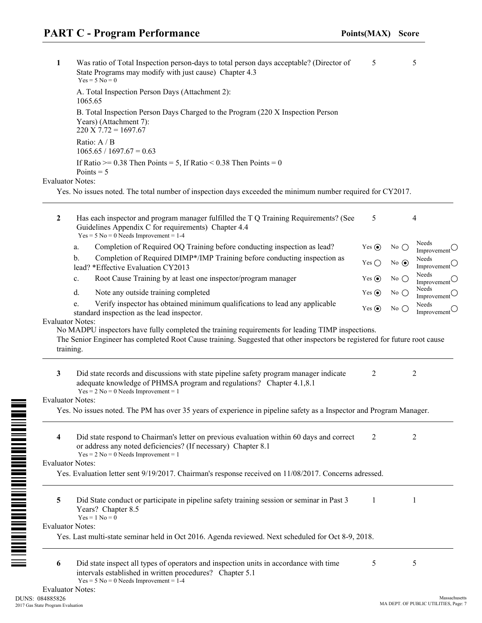**1** Was ratio of Total Inspection person-days to total person days acceptable? (Director of State Programs may modify with just cause) Chapter 4.3 5 5  $Yes = 5 No = 0$ A. Total Inspection Person Days (Attachment 2): 1065.65

B. Total Inspection Person Days Charged to the Program (220 X Inspection Person Years) (Attachment 7):  $220 \text{ X } 7.72 = 1697.67$ Ratio: A / B  $1065.65 / 1697.67 = 0.63$ If Ratio  $\ge$  = 0.38 Then Points = 5, If Ratio < 0.38 Then Points = 0 Points  $= 5$ 

#### Evaluator Notes:

Yes. No issues noted. The total number of inspection days exceeded the minimum number required for CY2017.

| $\mathbf{2}$            | Has each inspector and program manager fulfilled the T Q Training Requirements? (See<br>Guidelines Appendix C for requirements) Chapter 4.4<br>$Yes = 5 No = 0$ Needs Improvement = 1-4                                                     | 5             | 4                                                        |  |
|-------------------------|---------------------------------------------------------------------------------------------------------------------------------------------------------------------------------------------------------------------------------------------|---------------|----------------------------------------------------------|--|
|                         | Completion of Required OQ Training before conducting inspection as lead?<br>a.                                                                                                                                                              | Yes $\odot$   | Needs<br>No $\bigcirc$<br>Improvement $\bigcirc$         |  |
|                         | Completion of Required DIMP*/IMP Training before conducting inspection as<br>b.<br>lead? *Effective Evaluation CY2013                                                                                                                       | Yes $\bigcap$ | Needs<br>No $\odot$<br>Improvement $\circlearrowleft$    |  |
|                         | Root Cause Training by at least one inspector/program manager<br>c.                                                                                                                                                                         | Yes $\odot$   | Needs<br>No $\bigcirc$<br>Improvement                    |  |
|                         | Note any outside training completed<br>d.                                                                                                                                                                                                   | Yes $\odot$   | Needs<br>No $\bigcirc$<br>Improvement $\circlearrowleft$ |  |
|                         | Verify inspector has obtained minimum qualifications to lead any applicable<br>e.<br>standard inspection as the lead inspector.<br><b>Evaluator Notes:</b>                                                                                  | Yes $\odot$   | Needs<br>No $\bigcirc$<br>Improvement $\bigcirc$         |  |
|                         | No MADPU inspectors have fully completed the training requirements for leading TIMP inspections.<br>The Senior Engineer has completed Root Cause training. Suggested that other inspectors be registered for future root cause<br>training. |               |                                                          |  |
| $\mathbf{3}$            | Did state records and discussions with state pipeline safety program manager indicate<br>adequate knowledge of PHMSA program and regulations? Chapter 4.1,8.1<br>$Yes = 2 No = 0 Needs$ Improvement = 1                                     | 2             | $\mathfrak{2}$                                           |  |
|                         | <b>Evaluator Notes:</b>                                                                                                                                                                                                                     |               |                                                          |  |
|                         | Yes. No issues noted. The PM has over 35 years of experience in pipeline safety as a Inspector and Program Manager.                                                                                                                         |               |                                                          |  |
| $\overline{\mathbf{4}}$ | Did state respond to Chairman's letter on previous evaluation within 60 days and correct<br>or address any noted deficiencies? (If necessary) Chapter 8.1<br>$Yes = 2 No = 0$ Needs Improvement = 1                                         | 2             | $\overline{2}$                                           |  |
|                         | <b>Evaluator Notes:</b>                                                                                                                                                                                                                     |               |                                                          |  |
|                         | Yes. Evaluation letter sent 9/19/2017. Chairman's response received on 11/08/2017. Concerns adressed.                                                                                                                                       |               |                                                          |  |
| 5                       | Did State conduct or participate in pipeline safety training session or seminar in Past 3<br>Years? Chapter 8.5<br>$Yes = 1 No = 0$                                                                                                         | 1             | $\mathbf{1}$                                             |  |
|                         | <b>Evaluator Notes:</b>                                                                                                                                                                                                                     |               |                                                          |  |
|                         | Yes. Last multi-state seminar held in Oct 2016. Agenda reviewed. Next scheduled for Oct 8-9, 2018.                                                                                                                                          |               |                                                          |  |
| 6                       | Did state inspect all types of operators and inspection units in accordance with time<br>intervals established in written procedures? Chapter 5.1<br>$Yes = 5 No = 0 Needs Improvement = 1-4$                                               | 5             | 5                                                        |  |

<u>n inini alimni mini alimni mini m</u>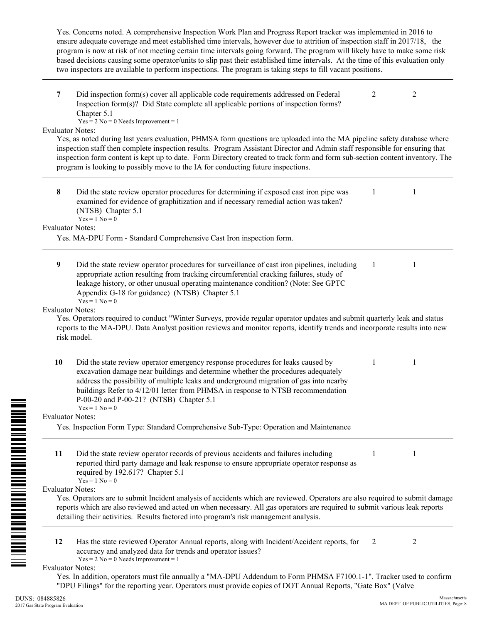Yes. Concerns noted. A comprehensive Inspection Work Plan and Progress Report tracker was implemented in 2016 to ensure adequate coverage and meet established time intervals, however due to attrition of inspection staff in 2017/18, the program is now at risk of not meeting certain time intervals going forward. The program will likely have to make some risk based decisions causing some operator/units to slip past their established time intervals. At the time of this evaluation only two inspectors are available to perform inspections. The program is taking steps to fill vacant positions.

| 7         | Did inspection form(s) cover all applicable code requirements addressed on Federal<br>Inspection form(s)? Did State complete all applicable portions of inspection forms?<br>Chapter 5.1                                                                                                                                                                                                                        | 2 | 2 |  |
|-----------|-----------------------------------------------------------------------------------------------------------------------------------------------------------------------------------------------------------------------------------------------------------------------------------------------------------------------------------------------------------------------------------------------------------------|---|---|--|
|           | $Yes = 2 No = 0 Needs Important = 1$                                                                                                                                                                                                                                                                                                                                                                            |   |   |  |
|           | <b>Evaluator Notes:</b><br>Yes, as noted during last years evaluation, PHMSA form questions are uploaded into the MA pipeline safety database where<br>inspection staff then complete inspection results. Program Assistant Director and Admin staff responsible for ensuring that                                                                                                                              |   |   |  |
|           | inspection form content is kept up to date. Form Directory created to track form and form sub-section content inventory. The                                                                                                                                                                                                                                                                                    |   |   |  |
|           | program is looking to possibly move to the IA for conducting future inspections.                                                                                                                                                                                                                                                                                                                                |   |   |  |
|           |                                                                                                                                                                                                                                                                                                                                                                                                                 |   |   |  |
| 8         | Did the state review operator procedures for determining if exposed cast iron pipe was<br>examined for evidence of graphitization and if necessary remedial action was taken?<br>(NTSB) Chapter 5.1<br>$Yes = 1 No = 0$                                                                                                                                                                                         | 1 | 1 |  |
|           | <b>Evaluator Notes:</b>                                                                                                                                                                                                                                                                                                                                                                                         |   |   |  |
|           | Yes. MA-DPU Form - Standard Comprehensive Cast Iron inspection form.                                                                                                                                                                                                                                                                                                                                            |   |   |  |
|           |                                                                                                                                                                                                                                                                                                                                                                                                                 |   |   |  |
| 9         | Did the state review operator procedures for surveillance of cast iron pipelines, including<br>appropriate action resulting from tracking circumferential cracking failures, study of<br>leakage history, or other unusual operating maintenance condition? (Note: See GPTC<br>Appendix G-18 for guidance) (NTSB) Chapter 5.1<br>$Yes = 1 No = 0$                                                               | 1 | 1 |  |
|           | <b>Evaluator Notes:</b>                                                                                                                                                                                                                                                                                                                                                                                         |   |   |  |
|           | Yes. Operators required to conduct "Winter Surveys, provide regular operator updates and submit quarterly leak and status                                                                                                                                                                                                                                                                                       |   |   |  |
|           | reports to the MA-DPU. Data Analyst position reviews and monitor reports, identify trends and incorporate results into new                                                                                                                                                                                                                                                                                      |   |   |  |
|           | risk model.                                                                                                                                                                                                                                                                                                                                                                                                     |   |   |  |
|           |                                                                                                                                                                                                                                                                                                                                                                                                                 |   |   |  |
| <b>10</b> | Did the state review operator emergency response procedures for leaks caused by<br>excavation damage near buildings and determine whether the procedures adequately<br>address the possibility of multiple leaks and underground migration of gas into nearby<br>buildings Refer to 4/12/01 letter from PHMSA in response to NTSB recommendation<br>P-00-20 and P-00-21? (NTSB) Chapter 5.1<br>$Yes = 1 No = 0$ | 1 | 1 |  |
|           | <b>Evaluator Notes:</b>                                                                                                                                                                                                                                                                                                                                                                                         |   |   |  |
|           | Yes. Inspection Form Type: Standard Comprehensive Sub-Type: Operation and Maintenance                                                                                                                                                                                                                                                                                                                           |   |   |  |
|           |                                                                                                                                                                                                                                                                                                                                                                                                                 |   |   |  |
| 11        | Did the state review operator records of previous accidents and failures including<br>reported third party damage and leak response to ensure appropriate operator response as<br>required by 192.617? Chapter 5.1<br>$Yes = 1 No = 0$                                                                                                                                                                          |   | 1 |  |
|           | <b>Evaluator Notes:</b>                                                                                                                                                                                                                                                                                                                                                                                         |   |   |  |
|           | Yes. Operators are to submit Incident analysis of accidents which are reviewed. Operators are also required to submit damage                                                                                                                                                                                                                                                                                    |   |   |  |
|           | reports which are also reviewed and acted on when necessary. All gas operators are required to submit various leak reports                                                                                                                                                                                                                                                                                      |   |   |  |
|           | detailing their activities. Results factored into program's risk management analysis.                                                                                                                                                                                                                                                                                                                           |   |   |  |
|           |                                                                                                                                                                                                                                                                                                                                                                                                                 |   |   |  |
| 12        | Has the state reviewed Operator Annual reports, along with Incident/Accident reports, for<br>accuracy and analyzed data for trends and operator issues?<br>$Yes = 2 No = 0 Needs Important = 1$                                                                                                                                                                                                                 | 2 | 2 |  |
|           | <b>Evaluator Notes:</b>                                                                                                                                                                                                                                                                                                                                                                                         |   |   |  |
|           | Yes. In addition, operators must file annually a "MA-DPU Addendum to Form PHMSA F7100.1-1". Tracker used to confirm<br>"DPU Filings" for the reporting year. Operators must provide copies of DOT Annual Reports, "Gate Box" (Valve                                                                                                                                                                             |   |   |  |

DUNS: 084885826 2017 Gas State Program Evaluation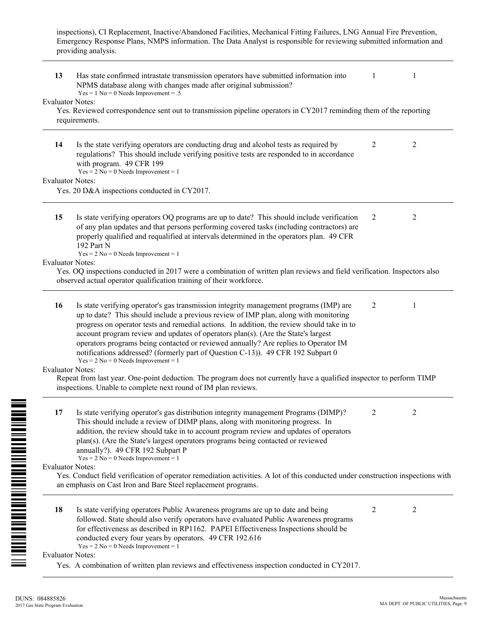inspections), CI Replacement, Inactive/Abandoned Facilities, Mechanical Fitting Failures, LNG Annual Fire Prevention, Emergency Response Plans, NMPS information. The Data Analyst is responsible for reviewing submitted information and providing analysis.

| 13 | Has state confirmed intrastate transmission operators have submitted information into<br>NPMS database along with changes made after original submission?<br>$Yes = 1 No = 0 Needs Important = .5$                                                                                                                                                                                                                                                                                                                                                                                     |   | 1              |
|----|----------------------------------------------------------------------------------------------------------------------------------------------------------------------------------------------------------------------------------------------------------------------------------------------------------------------------------------------------------------------------------------------------------------------------------------------------------------------------------------------------------------------------------------------------------------------------------------|---|----------------|
|    | <b>Evaluator Notes:</b><br>Yes. Reviewed correspondence sent out to transmission pipeline operators in CY2017 reminding them of the reporting<br>requirements.                                                                                                                                                                                                                                                                                                                                                                                                                         |   |                |
| 14 | Is the state verifying operators are conducting drug and alcohol tests as required by<br>regulations? This should include verifying positive tests are responded to in accordance<br>with program. 49 CFR 199<br>$Yes = 2 No = 0 Needs$ Improvement = 1                                                                                                                                                                                                                                                                                                                                | 2 | $\overline{2}$ |
|    | <b>Evaluator Notes:</b>                                                                                                                                                                                                                                                                                                                                                                                                                                                                                                                                                                |   |                |
|    | Yes. 20 D&A inspections conducted in CY2017.                                                                                                                                                                                                                                                                                                                                                                                                                                                                                                                                           |   |                |
| 15 | Is state verifying operators OQ programs are up to date? This should include verification<br>of any plan updates and that persons performing covered tasks (including contractors) are<br>properly qualified and requalified at intervals determined in the operators plan. 49 CFR<br>192 Part N<br>$Yes = 2 No = 0 Needs Improvement = 1$                                                                                                                                                                                                                                             | 2 | 2              |
|    | <b>Evaluator Notes:</b><br>Yes. OQ inspections conducted in 2017 were a combination of written plan reviews and field verification. Inspectors also<br>observed actual operator qualification training of their workforce.                                                                                                                                                                                                                                                                                                                                                             |   |                |
| 16 | Is state verifying operator's gas transmission integrity management programs (IMP) are<br>up to date? This should include a previous review of IMP plan, along with monitoring<br>progress on operator tests and remedial actions. In addition, the review should take in to<br>account program review and updates of operators plan(s). (Are the State's largest<br>operators programs being contacted or reviewed annually? Are replies to Operator IM<br>notifications addressed? (formerly part of Question C-13)). 49 CFR 192 Subpart 0<br>$Yes = 2 No = 0 Needs Improvement = 1$ | 2 | 1              |
|    | <b>Evaluator Notes:</b><br>Repeat from last year. One-point deduction. The program does not currently have a qualified inspector to perform TIMP<br>inspections. Unable to complete next round of IM plan reviews.                                                                                                                                                                                                                                                                                                                                                                     |   |                |
| 17 | Is state verifying operator's gas distribution integrity management Programs (DIMP)?<br>This should include a review of DIMP plans, along with monitoring progress. In<br>addition, the review should take in to account program review and updates of operators<br>plan(s). (Are the State's largest operators programs being contacted or reviewed<br>annually?). 49 CFR 192 Subpart P<br>$Yes = 2 No = 0 Needs Important = 1$                                                                                                                                                       | 2 | 2              |
|    | <b>Evaluator Notes:</b><br>Yes. Conduct field verification of operator remediation activities. A lot of this conducted under construction inspections with<br>an emphasis on Cast Iron and Bare Steel replacement programs.                                                                                                                                                                                                                                                                                                                                                            |   |                |
| 18 | Is state verifying operators Public Awareness programs are up to date and being<br>followed. State should also verify operators have evaluated Public Awareness programs<br>for effectiveness as described in RP1162. PAPEI Effectiveness Inspections should be<br>conducted every four years by operators. 49 CFR 192.616<br>$Yes = 2 No = 0 Needs Important = 1$                                                                                                                                                                                                                     | 2 | 2              |
|    | <b>Evaluator Notes:</b>                                                                                                                                                                                                                                                                                                                                                                                                                                                                                                                                                                |   |                |
|    | Yes. A combination of written plan reviews and effectiveness inspection conducted in CY2017.                                                                                                                                                                                                                                                                                                                                                                                                                                                                                           |   |                |

<u>m i arman manamenti i manamenti m</u>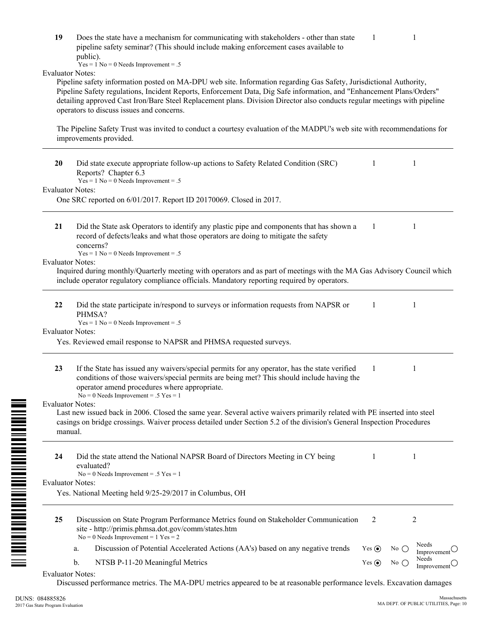|                                    | public).<br>$Yes = 1 No = 0 Needs Important = .5$                                                                                                                                                                                                                                                                                                                                                                     |             |               |                                 |
|------------------------------------|-----------------------------------------------------------------------------------------------------------------------------------------------------------------------------------------------------------------------------------------------------------------------------------------------------------------------------------------------------------------------------------------------------------------------|-------------|---------------|---------------------------------|
| <b>Evaluator Notes:</b>            | Pipeline safety information posted on MA-DPU web site. Information regarding Gas Safety, Jurisdictional Authority,<br>Pipeline Safety regulations, Incident Reports, Enforcement Data, Dig Safe information, and "Enhancement Plans/Orders"<br>detailing approved Cast Iron/Bare Steel Replacement plans. Division Director also conducts regular meetings with pipeline<br>operators to discuss issues and concerns. |             |               |                                 |
|                                    | The Pipeline Safety Trust was invited to conduct a courtesy evaluation of the MADPU's web site with recommendations for<br>improvements provided.                                                                                                                                                                                                                                                                     |             |               |                                 |
| 20                                 | Did state execute appropriate follow-up actions to Safety Related Condition (SRC)<br>Reports? Chapter 6.3<br>$Yes = 1 No = 0 Needs Important = .5$                                                                                                                                                                                                                                                                    | 1           |               | 1                               |
| <b>Evaluator Notes:</b>            |                                                                                                                                                                                                                                                                                                                                                                                                                       |             |               |                                 |
|                                    | One SRC reported on 6/01/2017. Report ID 20170069. Closed in 2017.                                                                                                                                                                                                                                                                                                                                                    |             |               |                                 |
| 21                                 | Did the State ask Operators to identify any plastic pipe and components that has shown a<br>record of defects/leaks and what those operators are doing to mitigate the safety<br>concerns?                                                                                                                                                                                                                            | 1           |               | 1                               |
| <b>Evaluator Notes:</b>            | $Yes = 1 No = 0 Needs Important = .5$                                                                                                                                                                                                                                                                                                                                                                                 |             |               |                                 |
|                                    | Inquired during monthly/Quarterly meeting with operators and as part of meetings with the MA Gas Advisory Council which<br>include operator regulatory compliance officials. Mandatory reporting required by operators.                                                                                                                                                                                               |             |               |                                 |
| 22                                 | Did the state participate in/respond to surveys or information requests from NAPSR or<br>PHMSA?<br>$Yes = 1 No = 0 Needs Important = .5$                                                                                                                                                                                                                                                                              | -1          |               | 1                               |
| <b>Evaluator Notes:</b>            |                                                                                                                                                                                                                                                                                                                                                                                                                       |             |               |                                 |
|                                    | Yes. Reviewed email response to NAPSR and PHMSA requested surveys.                                                                                                                                                                                                                                                                                                                                                    |             |               |                                 |
| 23                                 | If the State has issued any waivers/special permits for any operator, has the state verified<br>conditions of those waivers/special permits are being met? This should include having the<br>operator amend procedures where appropriate.<br>$No = 0$ Needs Improvement = .5 Yes = 1                                                                                                                                  | 1           |               | 1                               |
| <b>Evaluator Notes:</b><br>manual. | Last new issued back in 2006. Closed the same year. Several active waivers primarily related with PE inserted into steel<br>casings on bridge crossings. Waiver process detailed under Section 5.2 of the division's General Inspection Procedures                                                                                                                                                                    |             |               |                                 |
| 24                                 | Did the state attend the National NAPSR Board of Directors Meeting in CY being<br>evaluated?                                                                                                                                                                                                                                                                                                                          | 1           |               | 1                               |
| <b>Evaluator Notes:</b>            | $No = 0$ Needs Improvement = .5 Yes = 1                                                                                                                                                                                                                                                                                                                                                                               |             |               |                                 |
|                                    | Yes. National Meeting held 9/25-29/2017 in Columbus, OH                                                                                                                                                                                                                                                                                                                                                               |             |               |                                 |
| 25                                 | Discussion on State Program Performance Metrics found on Stakeholder Communication<br>site - http://primis.phmsa.dot.gov/comm/states.htm<br>$No = 0$ Needs Improvement = 1 Yes = 2                                                                                                                                                                                                                                    | 2           |               | 2                               |
|                                    | Discussion of Potential Accelerated Actions (AA's) based on any negative trends<br>a.                                                                                                                                                                                                                                                                                                                                 | Yes $\odot$ | No $\bigcirc$ | Needs<br>Improvement $\bigcirc$ |
|                                    | NTSB P-11-20 Meaningful Metrics<br>b.                                                                                                                                                                                                                                                                                                                                                                                 | Yes $\odot$ | No $\bigcirc$ | Needs                           |
| $E_{\text{volumator}}$ Motos       |                                                                                                                                                                                                                                                                                                                                                                                                                       |             |               | Improvement $\bigcirc$          |

**19** Does the state have a mechanism for communicating with stakeholders - other than state pipeline safety seminar? (This should include making enforcement cases available to

Evaluator Notes:

Discussed performance metrics. The MA-DPU metrics appeared to be at reasonable performance levels. Excavation damages

<u>n in die Bergham die Bergham die Bergham die Bergham die Bergham die Bergham die Bergham die Bergham die Bergham die B</u>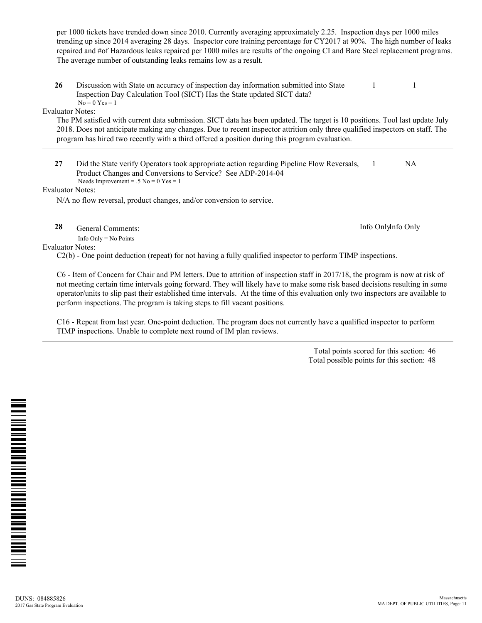per 1000 tickets have trended down since 2010. Currently averaging approximately 2.25. Inspection days per 1000 miles trending up since 2014 averaging 28 days. Inspector core training percentage for CY2017 at 90%. The high number of leaks repaired and #of Hazardous leaks repaired per 1000 miles are results of the ongoing CI and Bare Steel replacement programs. The average number of outstanding leaks remains low as a result.

**26** Discussion with State on accuracy of inspection day information submitted into State Inspection Day Calculation Tool (SICT) Has the State updated SICT data? 1 1  $No = 0$   $Yes = 1$ 

Evaluator Notes:

The PM satisfied with current data submission. SICT data has been updated. The target is 10 positions. Tool last update July 2018. Does not anticipate making any changes. Due to recent inspector attrition only three qualified inspectors on staff. The program has hired two recently with a third offered a position during this program evaluation.

**27** Did the State verify Operators took appropriate action regarding Pipeline Flow Reversals, Product Changes and Conversions to Service? See ADP-2014-04 1 NA Needs Improvement = .5 No =  $0$  Yes = 1

Evaluator Notes:

N/A no flow reversal, product changes, and/or conversion to service.

**28** General Comments: **Info Onlyinfo Only Info Onlyinfo Only** 

Info Only = No Points

Evaluator Notes:

C2(b) - One point deduction (repeat) for not having a fully qualified inspector to perform TIMP inspections.

C6 - Item of Concern for Chair and PM letters. Due to attrition of inspection staff in 2017/18, the program is now at risk of not meeting certain time intervals going forward. They will likely have to make some risk based decisions resulting in some operator/units to slip past their established time intervals. At the time of this evaluation only two inspectors are available to perform inspections. The program is taking steps to fill vacant positions.

C16 - Repeat from last year. One-point deduction. The program does not currently have a qualified inspector to perform TIMP inspections. Unable to complete next round of IM plan reviews.

> Total points scored for this section: 46 Total possible points for this section: 48

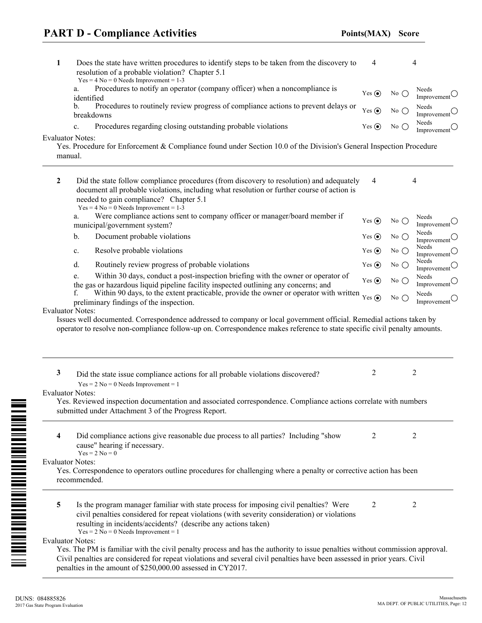| 1 | Does the state have written procedures to identify steps to be taken from the discovery to<br>resolution of a probable violation? Chapter 5.1<br>$Yes = 4 No = 0 Needs Important = 1-3$                                                                                                                                                      | 4           |               | 4                                        |
|---|----------------------------------------------------------------------------------------------------------------------------------------------------------------------------------------------------------------------------------------------------------------------------------------------------------------------------------------------|-------------|---------------|------------------------------------------|
|   | Procedures to notify an operator (company officer) when a noncompliance is<br>a.<br>identified                                                                                                                                                                                                                                               | Yes $\odot$ | No $\bigcirc$ | Needs<br>Improvement $\bigcirc$          |
|   | Procedures to routinely review progress of compliance actions to prevent delays or<br>b.<br>breakdowns                                                                                                                                                                                                                                       | Yes $\odot$ | No $\bigcap$  | Needs<br>Improvement                     |
|   | Procedures regarding closing outstanding probable violations<br>c.                                                                                                                                                                                                                                                                           | Yes $\odot$ | No $\bigcirc$ | Needs<br>Improvement $\bigcirc$          |
|   | <b>Evaluator Notes:</b><br>Yes. Procedure for Enforcement & Compliance found under Section 10.0 of the Division's General Inspection Procedure<br>manual.                                                                                                                                                                                    |             |               |                                          |
| 2 | Did the state follow compliance procedures (from discovery to resolution) and adequately<br>document all probable violations, including what resolution or further course of action is<br>needed to gain compliance? Chapter 5.1<br>$Yes = 4 No = 0$ Needs Improvement = 1-3                                                                 | 4           |               | $\overline{4}$                           |
|   | Were compliance actions sent to company officer or manager/board member if<br>a.<br>municipal/government system?                                                                                                                                                                                                                             | Yes $\odot$ | No $\bigcirc$ | Needs<br>Improvement $\bigcirc$          |
|   | Document probable violations<br>b.                                                                                                                                                                                                                                                                                                           | Yes $\odot$ | No $()$       | Needs<br>Improvement $\cup$              |
|   | Resolve probable violations<br>c.                                                                                                                                                                                                                                                                                                            | Yes $\odot$ | No $\bigcirc$ | Needs<br>Improvement $\bigcirc$          |
|   | d.<br>Routinely review progress of probable violations                                                                                                                                                                                                                                                                                       | Yes $\odot$ | No $\bigcirc$ | Needs<br>Improvement $\circlearrowright$ |
|   | Within 30 days, conduct a post-inspection briefing with the owner or operator of<br>e.<br>the gas or hazardous liquid pipeline facility inspected outlining any concerns; and                                                                                                                                                                | Yes $\odot$ | No $\bigcirc$ | Needs<br>Improvement $\bigcirc$          |
|   | Within 90 days, to the extent practicable, provide the owner or operator with written<br>f.<br>preliminary findings of the inspection.                                                                                                                                                                                                       | Yes $\odot$ | No $\bigcap$  | Needs<br>Improvement $\circlearrowleft$  |
|   | <b>Evaluator Notes:</b><br>Issues well documented. Correspondence addressed to company or local government official. Remedial actions taken by<br>operator to resolve non-compliance follow-up on. Correspondence makes reference to state specific civil penalty amounts.                                                                   |             |               |                                          |
| 3 | Did the state issue compliance actions for all probable violations discovered?<br>$Yes = 2 No = 0 Needs Improvement = 1$                                                                                                                                                                                                                     | 2           |               | $\overline{2}$                           |
|   | <b>Evaluator Notes:</b><br>Yes. Reviewed inspection documentation and associated correspondence. Compliance actions correlate with numbers<br>submitted under Attachment 3 of the Progress Report.                                                                                                                                           |             |               |                                          |
| 4 | Did compliance actions give reasonable due process to all parties? Including "show<br>cause" hearing if necessary.<br>$Yes = 2 No = 0$                                                                                                                                                                                                       | 2           |               | 2                                        |
|   | <b>Evaluator Notes:</b><br>Yes. Correspondence to operators outline procedures for challenging where a penalty or corrective action has been<br>recommended.                                                                                                                                                                                 |             |               |                                          |
| 5 | Is the program manager familiar with state process for imposing civil penalties? Were<br>civil penalties considered for repeat violations (with severity consideration) or violations<br>resulting in incidents/accidents? (describe any actions taken)<br>$Yes = 2 No = 0 Needs Improvement = 1$                                            | 2           |               | 2                                        |
|   | Evaluator Notes:<br>Yes. The PM is familiar with the civil penalty process and has the authority to issue penalties without commission approval.<br>Civil penalties are considered for repeat violations and several civil penalties have been assessed in prior years. Civil<br>penalties in the amount of \$250,000.00 assessed in CY2017. |             |               |                                          |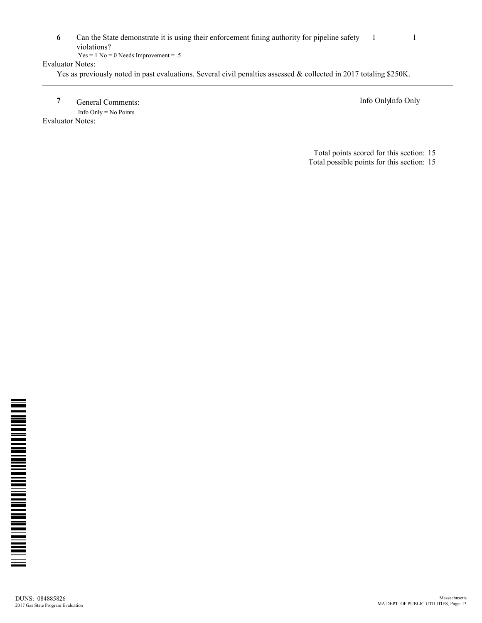|                  | Can the State demonstrate it is using their enforcement fining authority for pipeline safety                       |  |
|------------------|--------------------------------------------------------------------------------------------------------------------|--|
|                  | violations?                                                                                                        |  |
|                  | $Yes = 1 No = 0 Needs Improvement = .5$                                                                            |  |
| Evaluator Notes: |                                                                                                                    |  |
|                  | Yes as previously noted in past evaluations. Several civil penalties assessed & collected in 2017 totaling \$250K. |  |

**7** General Comments: Info OnlyInfo Only Info Only = No Points

Evaluator Notes:

Total points scored for this section: 15 Total possible points for this section: 15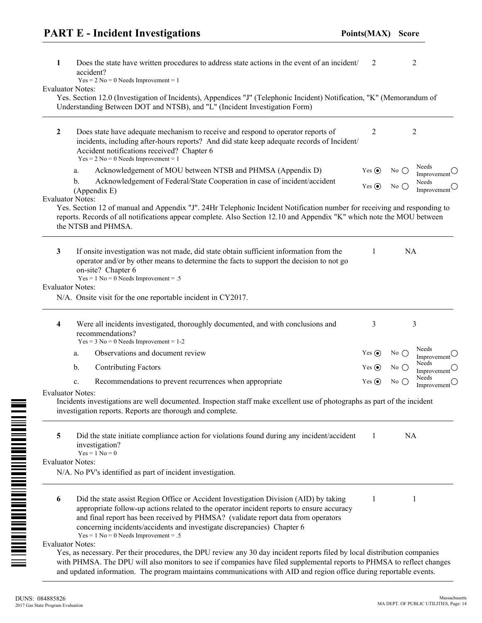| 1                       | Does the state have written procedures to address state actions in the event of an incident/<br>accident?<br>$Yes = 2 No = 0 Needs Improvement = 1$                                                                                                                                                                                                                                         | 2           |               | $\overline{c}$                           |
|-------------------------|---------------------------------------------------------------------------------------------------------------------------------------------------------------------------------------------------------------------------------------------------------------------------------------------------------------------------------------------------------------------------------------------|-------------|---------------|------------------------------------------|
| <b>Evaluator Notes:</b> | Yes. Section 12.0 (Investigation of Incidents), Appendices "J" (Telephonic Incident) Notification, "K" (Memorandum of<br>Understanding Between DOT and NTSB), and "L" (Incident Investigation Form)                                                                                                                                                                                         |             |               |                                          |
| $\overline{2}$          | Does state have adequate mechanism to receive and respond to operator reports of<br>incidents, including after-hours reports? And did state keep adequate records of Incident/<br>Accident notifications received? Chapter 6<br>$Yes = 2 No = 0 Needs Improvement = 1$                                                                                                                      | 2           |               | 2                                        |
|                         | Acknowledgement of MOU between NTSB and PHMSA (Appendix D)<br>a.                                                                                                                                                                                                                                                                                                                            | Yes $\odot$ | $No$ $()$     | Needs<br>Improvement $\circlearrowright$ |
|                         | Acknowledgement of Federal/State Cooperation in case of incident/accident<br>b.<br>(Appendix E)                                                                                                                                                                                                                                                                                             | Yes $\odot$ | No $\bigcirc$ | Needs<br>Improvement $\circlearrowright$ |
| <b>Evaluator Notes:</b> | Yes. Section 12 of manual and Appendix "J". 24Hr Telephonic Incident Notification number for receiving and responding to<br>reports. Records of all notifications appear complete. Also Section 12.10 and Appendix "K" which note the MOU between<br>the NTSB and PHMSA.                                                                                                                    |             |               |                                          |
| $\mathbf{3}$            | If onsite investigation was not made, did state obtain sufficient information from the<br>operator and/or by other means to determine the facts to support the decision to not go<br>on-site? Chapter 6<br>$Yes = 1 No = 0 Needs Important = .5$                                                                                                                                            | 1           | NA            |                                          |
| <b>Evaluator Notes:</b> |                                                                                                                                                                                                                                                                                                                                                                                             |             |               |                                          |
|                         | N/A. Onsite visit for the one reportable incident in CY2017.                                                                                                                                                                                                                                                                                                                                |             |               |                                          |
| 4                       | Were all incidents investigated, thoroughly documented, and with conclusions and<br>recommendations?<br>$Yes = 3 No = 0 Needs Important = 1-2$                                                                                                                                                                                                                                              | 3           |               | 3                                        |
|                         | Observations and document review<br>a.                                                                                                                                                                                                                                                                                                                                                      | Yes $\odot$ | No $\bigcirc$ | Needs<br>Improvement $\cup$              |
|                         | <b>Contributing Factors</b><br>b.                                                                                                                                                                                                                                                                                                                                                           | Yes $\odot$ | No()          | Needs<br>Improvement $\circlearrowright$ |
|                         | Recommendations to prevent recurrences when appropriate<br>c.                                                                                                                                                                                                                                                                                                                               | Yes $\odot$ | No $\bigcirc$ | Needs<br>Improvement $\circlearrowright$ |
| <b>Evaluator Notes:</b> | Incidents investigations are well documented. Inspection staff make excellent use of photographs as part of the incident<br>investigation reports. Reports are thorough and complete.                                                                                                                                                                                                       |             |               |                                          |
| 5                       | Did the state initiate compliance action for violations found during any incident/accident<br>investigation?<br>$Yes = 1 No = 0$                                                                                                                                                                                                                                                            | 1           | <b>NA</b>     |                                          |
| <b>Evaluator Notes:</b> |                                                                                                                                                                                                                                                                                                                                                                                             |             |               |                                          |
|                         | N/A. No PV's identified as part of incident investigation.                                                                                                                                                                                                                                                                                                                                  |             |               |                                          |
| 6                       | Did the state assist Region Office or Accident Investigation Division (AID) by taking<br>appropriate follow-up actions related to the operator incident reports to ensure accuracy<br>and final report has been received by PHMSA? (validate report data from operators<br>concerning incidents/accidents and investigate discrepancies) Chapter 6<br>$Yes = 1 No = 0 Needs Important = .5$ | 1           |               | 1                                        |
| <b>Evaluator Notes:</b> |                                                                                                                                                                                                                                                                                                                                                                                             |             |               |                                          |
|                         | Yes, as necessary. Per their procedures, the DPU review any 30 day incident reports filed by local distribution companies<br>with PHMSA. The DPU will also monitors to see if companies have filed supplemental reports to PHMSA to reflect changes<br>and updated information. The program maintains communications with AID and region office during reportable events.                   |             |               |                                          |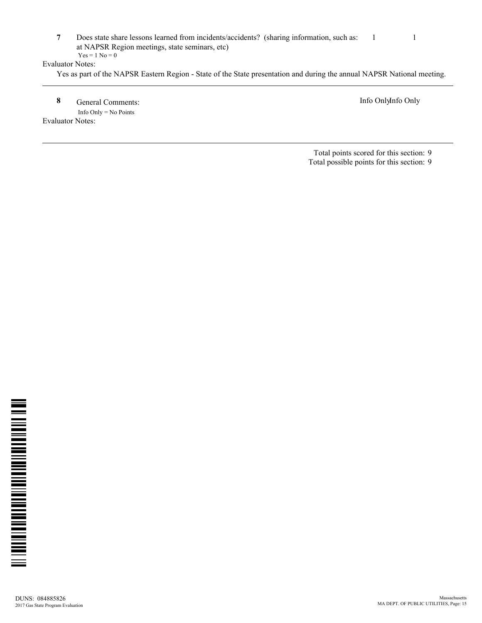**7** Does state share lessons learned from incidents/accidents? (sharing information, such as: at NAPSR Region meetings, state seminars, etc) 1 1  $Yes = 1 No = 0$ 

#### Evaluator Notes:

Yes as part of the NAPSR Eastern Region - State of the State presentation and during the annual NAPSR National meeting.

**8** General Comments: Info OnlyInfo Only Info Only = No Points

Evaluator Notes:

Total points scored for this section: 9 Total possible points for this section: 9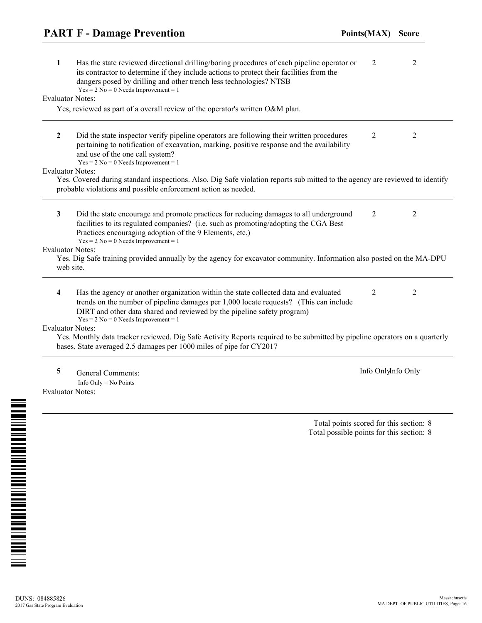| 1                            | Has the state reviewed directional drilling/boring procedures of each pipeline operator or<br>its contractor to determine if they include actions to protect their facilities from the<br>dangers posed by drilling and other trench less technologies? NTSB<br>$Yes = 2 No = 0 Needs Important = 1$ | 2                  | 2              |
|------------------------------|------------------------------------------------------------------------------------------------------------------------------------------------------------------------------------------------------------------------------------------------------------------------------------------------------|--------------------|----------------|
| <b>Evaluator Notes:</b>      |                                                                                                                                                                                                                                                                                                      |                    |                |
|                              | Yes, reviewed as part of a overall review of the operator's written O&M plan.                                                                                                                                                                                                                        |                    |                |
| $\overline{2}$               | Did the state inspector verify pipeline operators are following their written procedures<br>pertaining to notification of excavation, marking, positive response and the availability<br>and use of the one call system?<br>$Yes = 2 No = 0 Needs Improvement = 1$                                   | 2                  | 2              |
| <b>Evaluator Notes:</b>      |                                                                                                                                                                                                                                                                                                      |                    |                |
|                              | Yes. Covered during standard inspections. Also, Dig Safe violation reports sub mitted to the agency are reviewed to identify<br>probable violations and possible enforcement action as needed.                                                                                                       |                    |                |
| 3                            | Did the state encourage and promote practices for reducing damages to all underground<br>facilities to its regulated companies? (i.e. such as promoting/adopting the CGA Best<br>Practices encouraging adoption of the 9 Elements, etc.)<br>$Yes = 2 No = 0 Needs$ Improvement = 1                   | 2                  | 2              |
| <b>Evaluator Notes:</b>      |                                                                                                                                                                                                                                                                                                      |                    |                |
|                              | Yes. Dig Safe training provided annually by the agency for excavator community. Information also posted on the MA-DPU<br>web site.                                                                                                                                                                   |                    |                |
| 4                            | Has the agency or another organization within the state collected data and evaluated<br>trends on the number of pipeline damages per 1,000 locate requests? (This can include<br>DIRT and other data shared and reviewed by the pipeline safety program)<br>$Yes = 2 No = 0 Needs Important = 1$     | 2                  | $\overline{2}$ |
| <b>Evaluator Notes:</b>      |                                                                                                                                                                                                                                                                                                      |                    |                |
|                              | Yes. Monthly data tracker reviewed. Dig Safe Activity Reports required to be submitted by pipeline operators on a quarterly<br>bases. State averaged 2.5 damages per 1000 miles of pipe for CY2017                                                                                                   |                    |                |
| 5<br><b>Evaluator Notes:</b> | <b>General Comments:</b><br>Info Only = $No$ Points                                                                                                                                                                                                                                                  | Info OnlyInfo Only |                |

Total points scored for this section: 8 Total possible points for this section: 8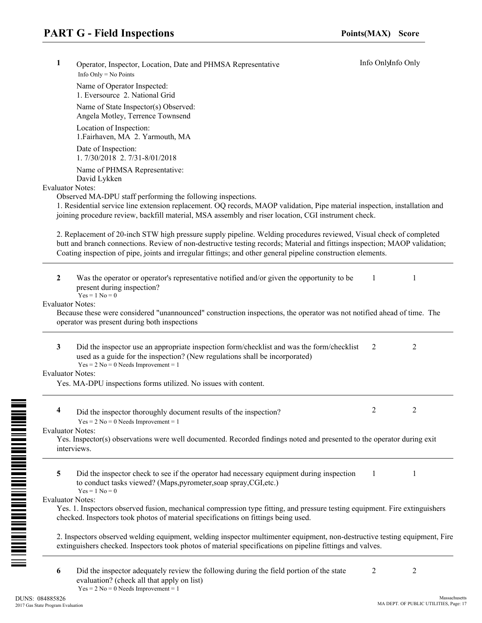| 1 | Operator, Inspector, Location, Date and PHMSA Representative<br>Info Only = $No$ Points                                                                                                                                                                                                                                                                           | Info OnlyInfo Only |                |
|---|-------------------------------------------------------------------------------------------------------------------------------------------------------------------------------------------------------------------------------------------------------------------------------------------------------------------------------------------------------------------|--------------------|----------------|
|   | Name of Operator Inspected:<br>1. Eversource 2. National Grid                                                                                                                                                                                                                                                                                                     |                    |                |
|   | Name of State Inspector(s) Observed:<br>Angela Motley, Terrence Townsend                                                                                                                                                                                                                                                                                          |                    |                |
|   | Location of Inspection:<br>1. Fairhaven, MA 2. Yarmouth, MA                                                                                                                                                                                                                                                                                                       |                    |                |
|   | Date of Inspection:<br>1.7/30/2018 2.7/31-8/01/2018                                                                                                                                                                                                                                                                                                               |                    |                |
|   | Name of PHMSA Representative:<br>David Lykken                                                                                                                                                                                                                                                                                                                     |                    |                |
|   | <b>Evaluator Notes:</b><br>Observed MA-DPU staff performing the following inspections.<br>1. Residential service line extension replacement. OQ records, MAOP validation, Pipe material inspection, installation and<br>joining procedure review, backfill material, MSA assembly and riser location, CGI instrument check.                                       |                    |                |
|   | 2. Replacement of 20-inch STW high pressure supply pipeline. Welding procedures reviewed, Visual check of completed<br>butt and branch connections. Review of non-destructive testing records; Material and fittings inspection; MAOP validation;<br>Coating inspection of pipe, joints and irregular fittings; and other general pipeline construction elements. |                    |                |
| 2 | Was the operator or operator's representative notified and/or given the opportunity to be<br>present during inspection?<br>$Yes = 1 No = 0$                                                                                                                                                                                                                       | 1                  | 1              |
|   | <b>Evaluator Notes:</b><br>Because these were considered "unannounced" construction inspections, the operator was not notified ahead of time. The<br>operator was present during both inspections                                                                                                                                                                 |                    |                |
| 3 | Did the inspector use an appropriate inspection form/checklist and was the form/checklist<br>used as a guide for the inspection? (New regulations shall be incorporated)<br>$Yes = 2 No = 0 Needs Important = 1$                                                                                                                                                  | 2                  | $\overline{2}$ |
|   | <b>Evaluator Notes:</b>                                                                                                                                                                                                                                                                                                                                           |                    |                |
|   | Yes. MA-DPU inspections forms utilized. No issues with content.                                                                                                                                                                                                                                                                                                   |                    |                |
|   | Did the inspector thoroughly document results of the inspection?<br>$Yes = 2 No = 0 Needs Important = 1$                                                                                                                                                                                                                                                          | $\mathcal{D}$      | $\mathcal{D}$  |
|   | <b>Evaluator Notes:</b><br>Yes. Inspector(s) observations were well documented. Recorded findings noted and presented to the operator during exit<br>interviews.                                                                                                                                                                                                  |                    |                |
| 5 | Did the inspector check to see if the operator had necessary equipment during inspection<br>to conduct tasks viewed? (Maps, pyrometer, soap spray, CGI, etc.)<br>$Yes = 1 No = 0$                                                                                                                                                                                 | $\mathbf{1}$       | 1              |
|   | <b>Evaluator Notes:</b><br>Yes. 1. Inspectors observed fusion, mechanical compression type fitting, and pressure testing equipment. Fire extinguishers<br>checked. Inspectors took photos of material specifications on fittings being used.                                                                                                                      |                    |                |
|   | 2. Inspectors observed welding equipment, welding inspector multimenter equipment, non-destructive testing equipment, Fire<br>extinguishers checked. Inspectors took photos of material specifications on pipeline fittings and valves.                                                                                                                           |                    |                |
| 6 | Did the inspector adequately review the following during the field portion of the state<br>evaluation? (check all that apply on list)<br>$Yes = 2 No = 0 Needs Improvement = 1$                                                                                                                                                                                   | 2                  | $\overline{2}$ |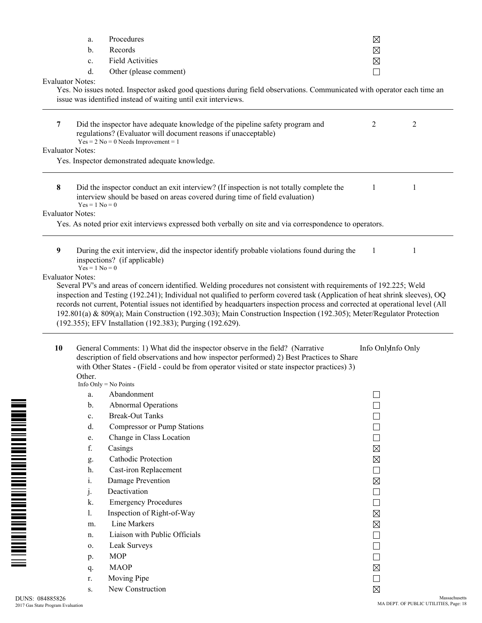|                                                                                                                                                                                                                                                                                 | a.                      | Procedures                                                                                                                                                                                                                                                                                                           | $\boxtimes$                 |                    |
|---------------------------------------------------------------------------------------------------------------------------------------------------------------------------------------------------------------------------------------------------------------------------------|-------------------------|----------------------------------------------------------------------------------------------------------------------------------------------------------------------------------------------------------------------------------------------------------------------------------------------------------------------|-----------------------------|--------------------|
|                                                                                                                                                                                                                                                                                 | b.                      | Records                                                                                                                                                                                                                                                                                                              | $\boxtimes$                 |                    |
|                                                                                                                                                                                                                                                                                 | c.                      | <b>Field Activities</b>                                                                                                                                                                                                                                                                                              | $\boxtimes$                 |                    |
|                                                                                                                                                                                                                                                                                 | d.                      | Other (please comment)                                                                                                                                                                                                                                                                                               | $\Box$                      |                    |
|                                                                                                                                                                                                                                                                                 | <b>Evaluator Notes:</b> |                                                                                                                                                                                                                                                                                                                      |                             |                    |
|                                                                                                                                                                                                                                                                                 |                         | Yes. No issues noted. Inspector asked good questions during field observations. Communicated with operator each time an<br>issue was identified instead of waiting until exit interviews.                                                                                                                            |                             |                    |
|                                                                                                                                                                                                                                                                                 |                         |                                                                                                                                                                                                                                                                                                                      |                             |                    |
| 7                                                                                                                                                                                                                                                                               |                         | Did the inspector have adequate knowledge of the pipeline safety program and<br>regulations? (Evaluator will document reasons if unacceptable)<br>$Yes = 2 No = 0 Needs Improvement = 1$                                                                                                                             | 2                           | 2                  |
|                                                                                                                                                                                                                                                                                 | <b>Evaluator Notes:</b> |                                                                                                                                                                                                                                                                                                                      |                             |                    |
|                                                                                                                                                                                                                                                                                 |                         | Yes. Inspector demonstrated adequate knowledge.                                                                                                                                                                                                                                                                      |                             |                    |
| $\bf{8}$                                                                                                                                                                                                                                                                        | $Yes = 1 No = 0$        | Did the inspector conduct an exit interview? (If inspection is not totally complete the<br>interview should be based on areas covered during time of field evaluation)                                                                                                                                               | 1                           | 1                  |
|                                                                                                                                                                                                                                                                                 | <b>Evaluator Notes:</b> |                                                                                                                                                                                                                                                                                                                      |                             |                    |
|                                                                                                                                                                                                                                                                                 |                         | Yes. As noted prior exit interviews expressed both verbally on site and via correspondence to operators.                                                                                                                                                                                                             |                             |                    |
| 9                                                                                                                                                                                                                                                                               | $Yes = 1 No = 0$        | During the exit interview, did the inspector identify probable violations found during the<br>inspections? (if applicable)                                                                                                                                                                                           | 1                           | 1                  |
|                                                                                                                                                                                                                                                                                 |                         | records not current, Potential issues not identified by headquarters inspection process and corrected at operational level (All<br>192.801(a) & 809(a); Main Construction (192.303); Main Construction Inspection (192.305); Meter/Regulator Protection<br>(192.355); EFV Installation (192.383); Purging (192.629). |                             |                    |
| 10<br>General Comments: 1) What did the inspector observe in the field? (Narrative<br>description of field observations and how inspector performed) 2) Best Practices to Share<br>with Other States - (Field - could be from operator visited or state inspector practices) 3) |                         |                                                                                                                                                                                                                                                                                                                      |                             | Info OnlyInfo Only |
|                                                                                                                                                                                                                                                                                 | Other.                  | Info Only = $No$ Points                                                                                                                                                                                                                                                                                              |                             |                    |
|                                                                                                                                                                                                                                                                                 | a.                      | Abandonment                                                                                                                                                                                                                                                                                                          |                             |                    |
|                                                                                                                                                                                                                                                                                 | $\mathbf b$ .           | Abnormal Operations                                                                                                                                                                                                                                                                                                  |                             |                    |
|                                                                                                                                                                                                                                                                                 | $c_{\cdot}$             | <b>Break-Out Tanks</b>                                                                                                                                                                                                                                                                                               |                             |                    |
|                                                                                                                                                                                                                                                                                 | d.                      | <b>Compressor or Pump Stations</b>                                                                                                                                                                                                                                                                                   |                             |                    |
|                                                                                                                                                                                                                                                                                 | e.                      | Change in Class Location                                                                                                                                                                                                                                                                                             |                             |                    |
|                                                                                                                                                                                                                                                                                 | f.                      | Casings                                                                                                                                                                                                                                                                                                              | $\boxtimes$                 |                    |
|                                                                                                                                                                                                                                                                                 | g.                      | <b>Cathodic Protection</b>                                                                                                                                                                                                                                                                                           | $\boxtimes$                 |                    |
|                                                                                                                                                                                                                                                                                 | h.                      | Cast-iron Replacement                                                                                                                                                                                                                                                                                                | $\mathbb{R}^2$              |                    |
|                                                                                                                                                                                                                                                                                 | i.                      | Damage Prevention                                                                                                                                                                                                                                                                                                    | $\boxtimes$                 |                    |
|                                                                                                                                                                                                                                                                                 | j.                      | Deactivation                                                                                                                                                                                                                                                                                                         | $\mathcal{A}$               |                    |
|                                                                                                                                                                                                                                                                                 | k.                      | <b>Emergency Procedures</b>                                                                                                                                                                                                                                                                                          | $\mathcal{L}_{\mathcal{A}}$ |                    |
|                                                                                                                                                                                                                                                                                 | 1.                      | Inspection of Right-of-Way                                                                                                                                                                                                                                                                                           | ⊠                           |                    |
|                                                                                                                                                                                                                                                                                 | m.                      | Line Markers                                                                                                                                                                                                                                                                                                         | $\boxtimes$                 |                    |
|                                                                                                                                                                                                                                                                                 | n.                      | Liaison with Public Officials                                                                                                                                                                                                                                                                                        | $\mathbb{R}^2$              |                    |
|                                                                                                                                                                                                                                                                                 | 0.                      | Leak Surveys                                                                                                                                                                                                                                                                                                         |                             |                    |
|                                                                                                                                                                                                                                                                                 | p.                      | <b>MOP</b>                                                                                                                                                                                                                                                                                                           | $\overline{\phantom{a}}$    |                    |
|                                                                                                                                                                                                                                                                                 | q.                      | <b>MAOP</b>                                                                                                                                                                                                                                                                                                          | $\boxtimes$                 |                    |
|                                                                                                                                                                                                                                                                                 | r.                      | Moving Pipe                                                                                                                                                                                                                                                                                                          | $\mathcal{L}_{\mathcal{A}}$ |                    |
|                                                                                                                                                                                                                                                                                 | S.                      | New Construction                                                                                                                                                                                                                                                                                                     | $\boxtimes$                 |                    |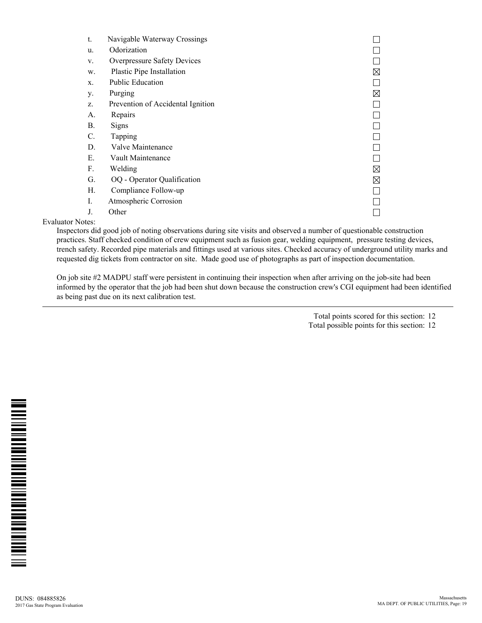| t.              | Navigable Waterway Crossings      |             |
|-----------------|-----------------------------------|-------------|
| u.              | Odorization                       |             |
| V.              | Overpressure Safety Devices       |             |
| W.              | Plastic Pipe Installation         | $\boxtimes$ |
| X.              | Public Education                  |             |
| у.              | Purging                           | ⊠           |
| Z.              | Prevention of Accidental Ignition |             |
| А.              | Repairs                           |             |
| Β.              | <b>Signs</b>                      |             |
| $\mathcal{C}$ . | Tapping                           |             |
| D.              | Valve Maintenance                 |             |
| Е.              | Vault Maintenance                 |             |
| F.              | Welding                           | $\boxtimes$ |
| G.              | OQ - Operator Qualification       | ⊠           |
| Н.              | Compliance Follow-up              |             |
| L               | Atmospheric Corrosion             |             |
| J.              | Other                             |             |

Evaluator Notes:

Inspectors did good job of noting observations during site visits and observed a number of questionable construction practices. Staff checked condition of crew equipment such as fusion gear, welding equipment, pressure testing devices, trench safety. Recorded pipe materials and fittings used at various sites. Checked accuracy of underground utility marks and requested dig tickets from contractor on site. Made good use of photographs as part of inspection documentation.

On job site #2 MADPU staff were persistent in continuing their inspection when after arriving on the job-site had been informed by the operator that the job had been shut down because the construction crew's CGI equipment had been identified as being past due on its next calibration test.

> Total points scored for this section: 12 Total possible points for this section: 12

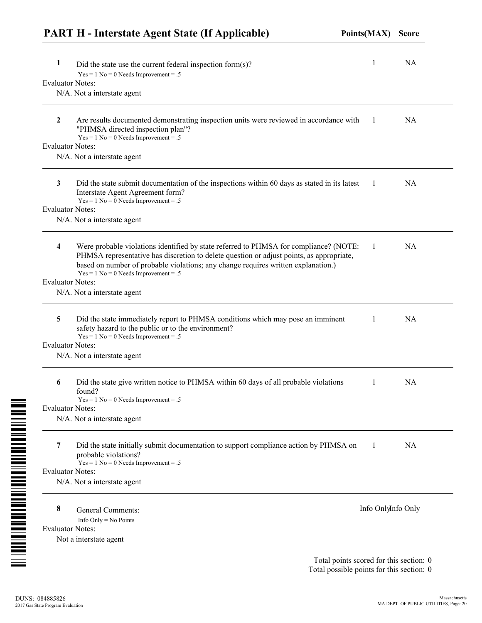|                         | <b>PART H</b> - Interstate Agent State (If Applicable)                                                                                                                                                                                                                                                          | Points(MAX)        | <b>Score</b> |
|-------------------------|-----------------------------------------------------------------------------------------------------------------------------------------------------------------------------------------------------------------------------------------------------------------------------------------------------------------|--------------------|--------------|
| 1                       | Did the state use the current federal inspection form $(s)$ ?                                                                                                                                                                                                                                                   | 1                  | <b>NA</b>    |
| <b>Evaluator Notes:</b> | $Yes = 1 No = 0 Needs Important = .5$                                                                                                                                                                                                                                                                           |                    |              |
|                         | N/A. Not a interstate agent                                                                                                                                                                                                                                                                                     |                    |              |
|                         |                                                                                                                                                                                                                                                                                                                 |                    |              |
| $\boldsymbol{2}$        | Are results documented demonstrating inspection units were reviewed in accordance with<br>"PHMSA directed inspection plan"?<br>$Yes = 1 No = 0 Needs Important = .5$                                                                                                                                            | -1                 | <b>NA</b>    |
| <b>Evaluator Notes:</b> |                                                                                                                                                                                                                                                                                                                 |                    |              |
|                         | N/A. Not a interstate agent                                                                                                                                                                                                                                                                                     |                    |              |
| 3                       | Did the state submit documentation of the inspections within 60 days as stated in its latest<br>Interstate Agent Agreement form?<br>$Yes = 1 No = 0 Needs Important = .5$                                                                                                                                       | -1                 | NA.          |
| <b>Evaluator Notes:</b> |                                                                                                                                                                                                                                                                                                                 |                    |              |
|                         | N/A. Not a interstate agent                                                                                                                                                                                                                                                                                     |                    |              |
| 4                       | Were probable violations identified by state referred to PHMSA for compliance? (NOTE:<br>PHMSA representative has discretion to delete question or adjust points, as appropriate,<br>based on number of probable violations; any change requires written explanation.)<br>$Yes = 1 No = 0 Needs Important = .5$ | -1                 | <b>NA</b>    |
| <b>Evaluator Notes:</b> |                                                                                                                                                                                                                                                                                                                 |                    |              |
|                         | N/A. Not a interstate agent                                                                                                                                                                                                                                                                                     |                    |              |
|                         |                                                                                                                                                                                                                                                                                                                 |                    |              |
| 5                       | Did the state immediately report to PHMSA conditions which may pose an imminent<br>safety hazard to the public or to the environment?<br>$Yes = 1 No = 0 Needs Important = .5$                                                                                                                                  | 1                  | <b>NA</b>    |
| <b>Evaluator Notes:</b> |                                                                                                                                                                                                                                                                                                                 |                    |              |
|                         | N/A. Not a interstate agent                                                                                                                                                                                                                                                                                     |                    |              |
| 6                       | Did the state give written notice to PHMSA within 60 days of all probable violations<br>found?<br>$Yes = 1 No = 0 Needs Important = .5$                                                                                                                                                                         |                    | NA           |
| <b>Evaluator Notes:</b> |                                                                                                                                                                                                                                                                                                                 |                    |              |
|                         | N/A. Not a interstate agent                                                                                                                                                                                                                                                                                     |                    |              |
| 7                       | Did the state initially submit documentation to support compliance action by PHMSA on<br>probable violations?                                                                                                                                                                                                   | -1                 | NA           |
| <b>Evaluator Notes:</b> | $Yes = 1 No = 0 Needs Important = .5$                                                                                                                                                                                                                                                                           |                    |              |
|                         | N/A. Not a interstate agent                                                                                                                                                                                                                                                                                     |                    |              |
|                         |                                                                                                                                                                                                                                                                                                                 |                    |              |
| 8                       | <b>General Comments:</b>                                                                                                                                                                                                                                                                                        | Info OnlyInfo Only |              |
|                         | Info Only = $No$ Points                                                                                                                                                                                                                                                                                         |                    |              |
| <b>Evaluator Notes:</b> |                                                                                                                                                                                                                                                                                                                 |                    |              |
|                         | Not a interstate agent                                                                                                                                                                                                                                                                                          |                    |              |

Total points scored for this section: 0 Total possible points for this section: 0